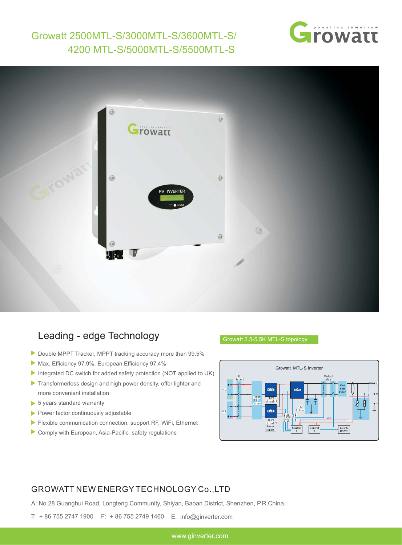## Growatt 2500MTL-S/3000MTL-S/3600MTL-S/ 4200 MTL-S/5000MTL-S/5500MTL-S





## Leading - edge Technology

- Double MPPT Tracker, MPPT tracking accuracy more than 99.5%
- Max. Efficiency 97.9%, European Efficiency 97.4%
- Integrated DC switch for added safety protection (NOT applied to UK)
- Transformerless design and high power density, offer lighter and more convenient installation
- ▶ 5 years standard warranty
- $\blacktriangleright$  Power factor continuously adjustable
- Flexible communication connection, support RF, WiFi, Ethernet
- Comply with European, Asia-Pacific safety regulations

## Growatt 2.5-5.5K MTL-S topology



## GROWATT NEW ENERGY TECHNOLOGY Co.,LTD

A: No.28 Guanghui Road, Longteng Community, Shiyan, Baoan District, Shenzhen, P.R.China.

T: + 86 755 2747 1900 F: + 86 755 2749 1460 E: info@ginverter.com